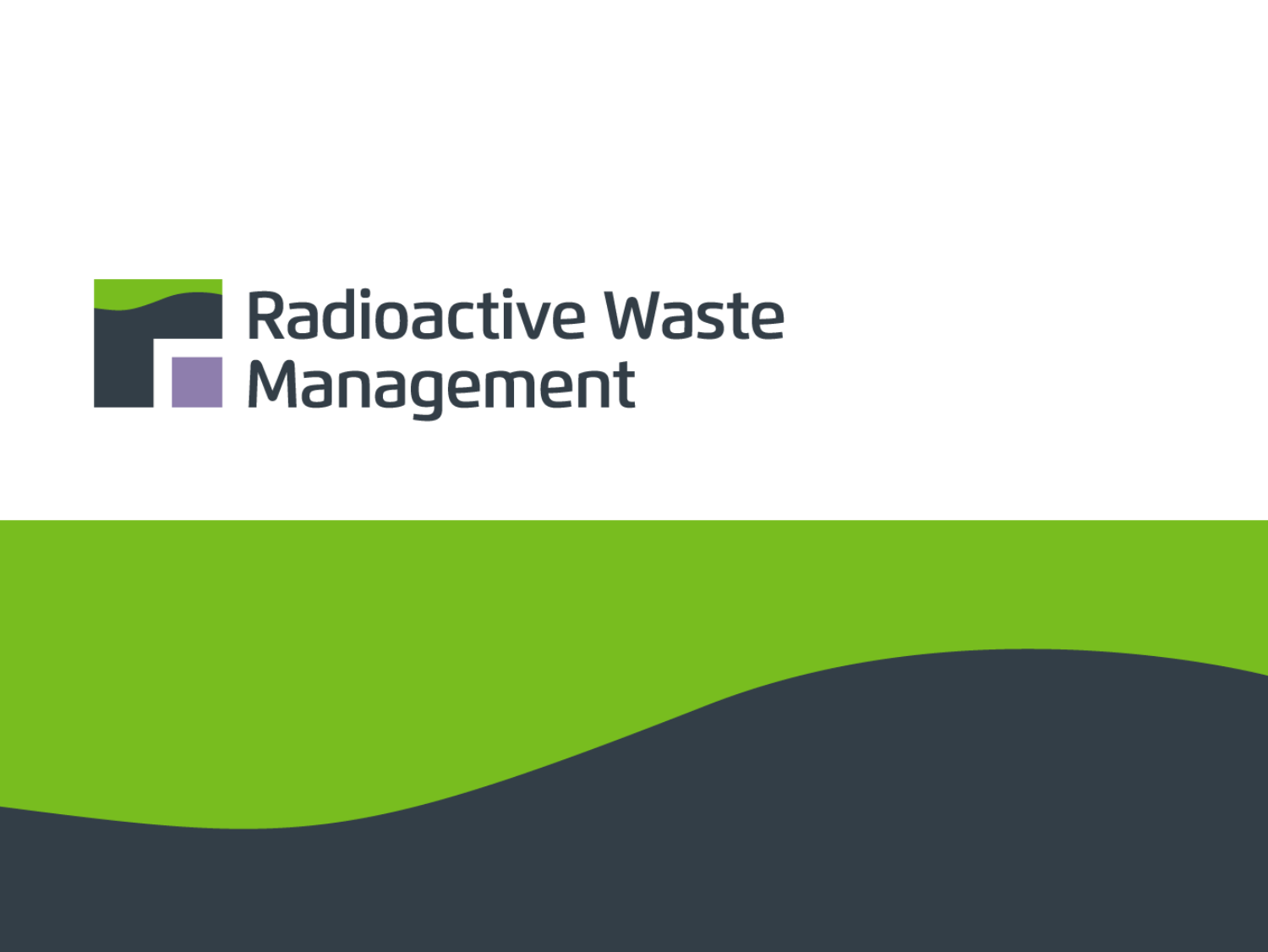# **Radioactive Waste** Radioacuve vv

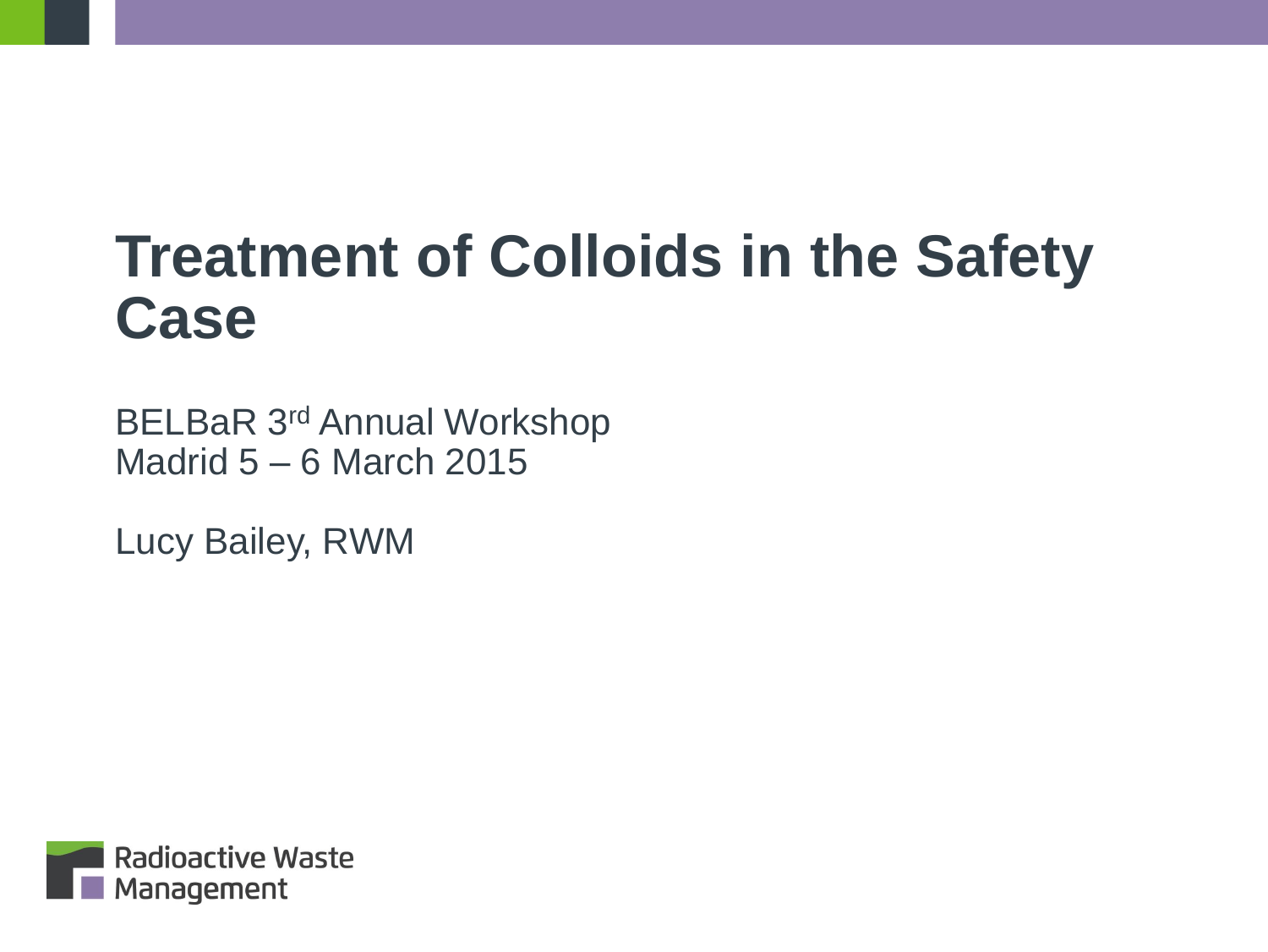# **Treatment of Colloids in the Safety Case**

BELBaR 3rd Annual Workshop Madrid 5 – 6 March 2015

Lucy Bailey, RWM

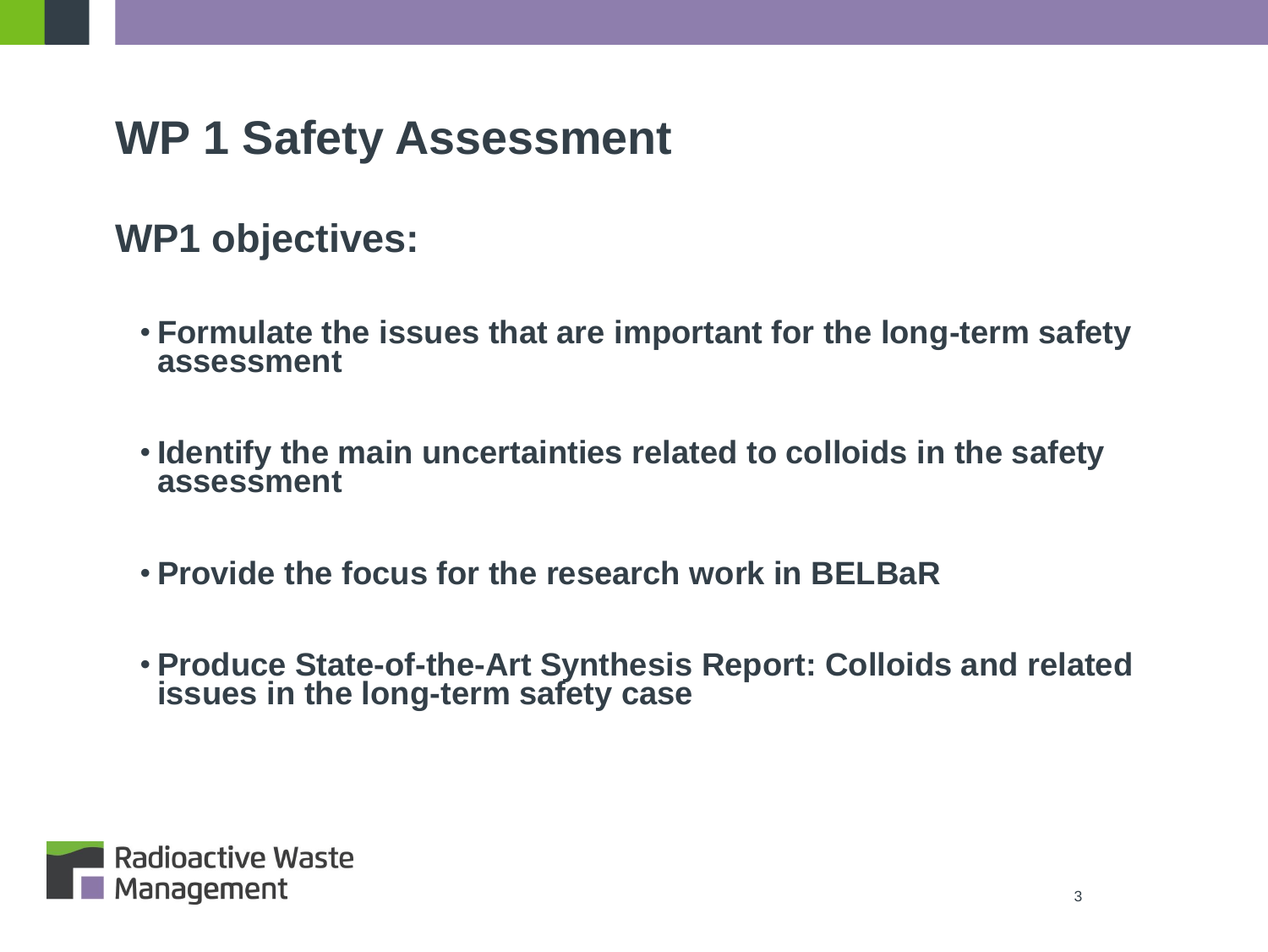#### **WP 1 Safety Assessment**

#### **WP1 objectives:**

- **Formulate the issues that are important for the long-term safety assessment**
- **Identify the main uncertainties related to colloids in the safety assessment**
- **Provide the focus for the research work in BELBaR**
- **Produce State-of-the-Art Synthesis Report: Colloids and related issues in the long-term safety case**

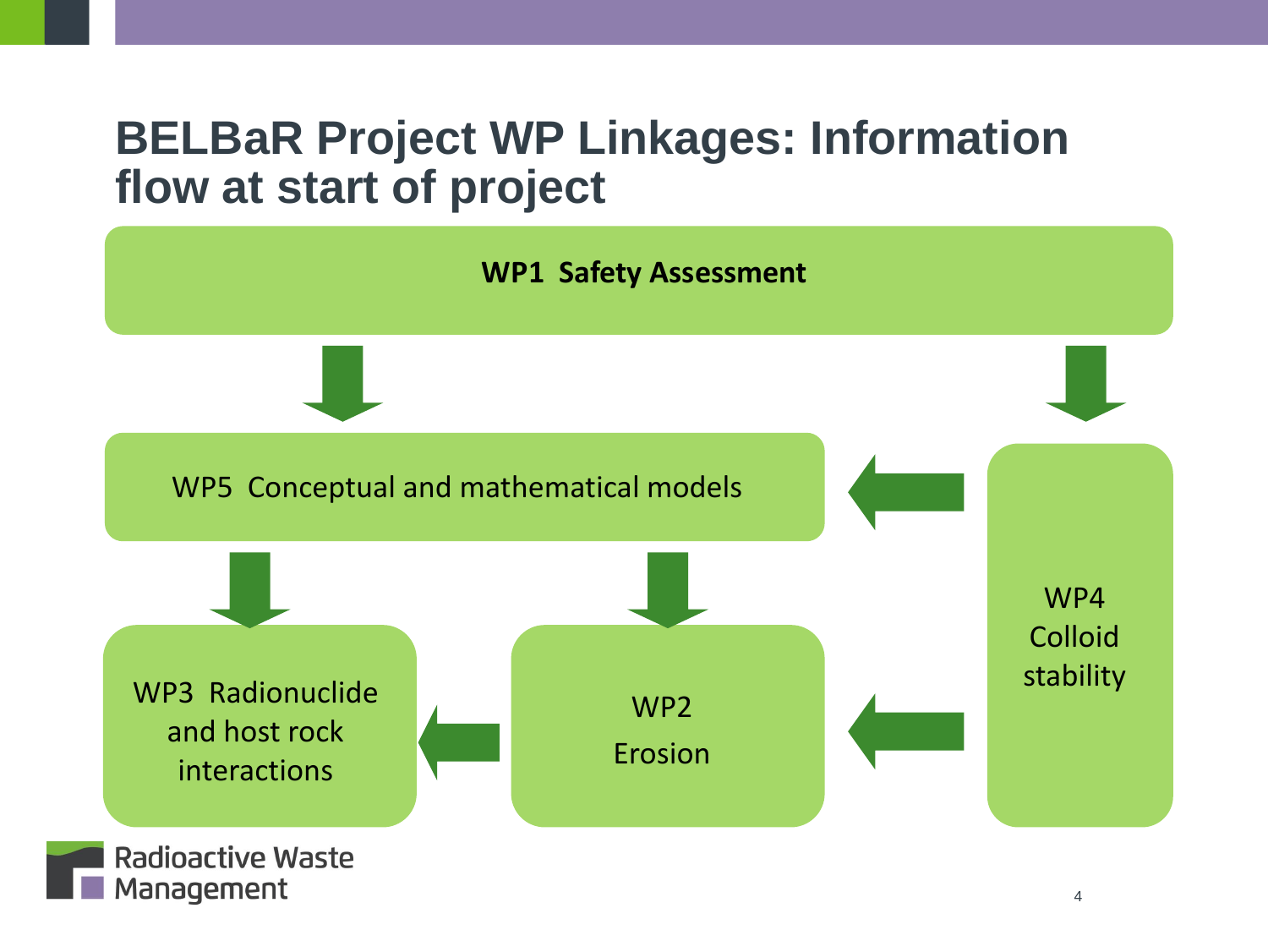#### **BELBaR Project WP Linkages: Information flow at start of project**



4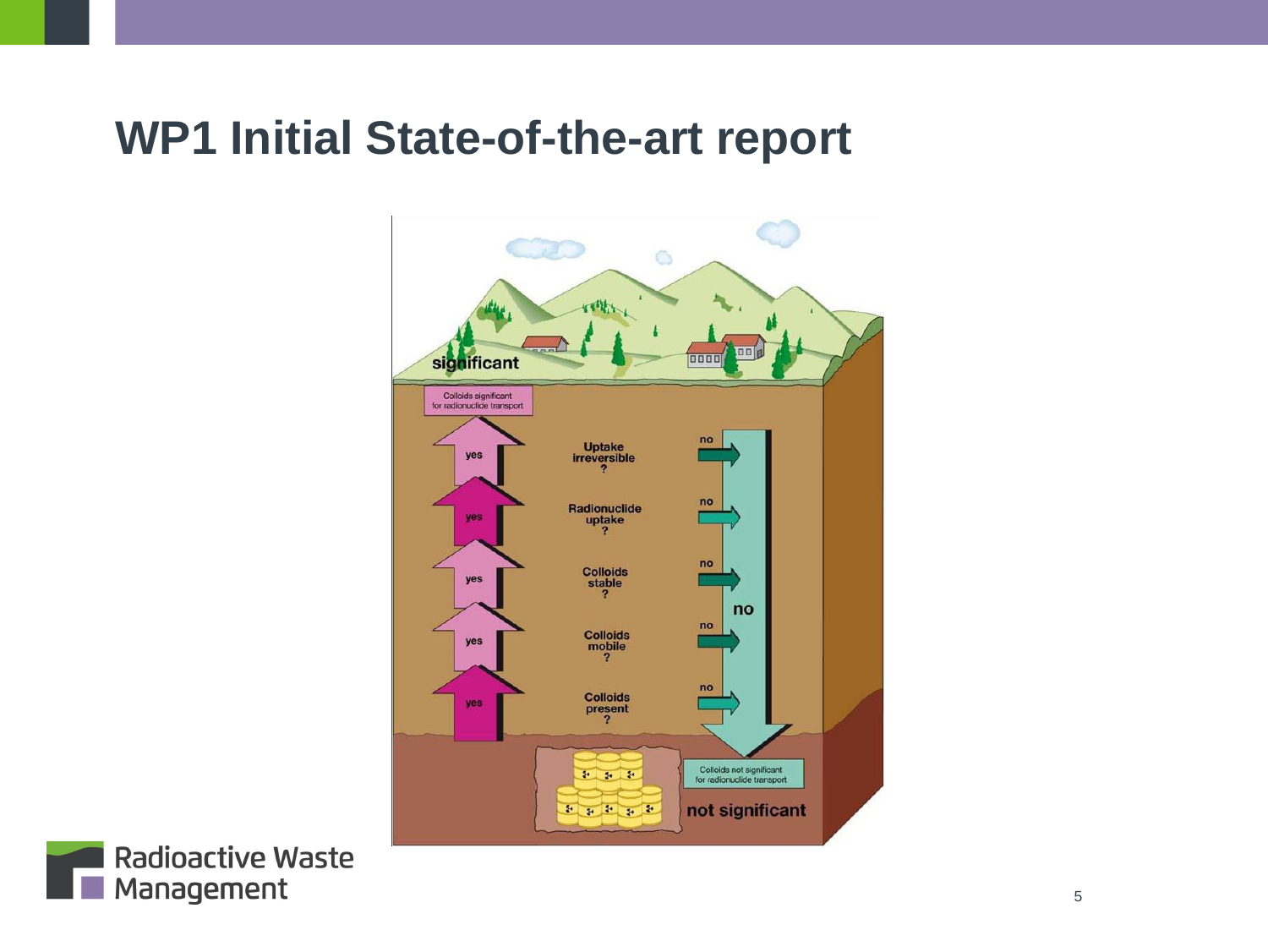#### **WP1 Initial State-of-the-art report**



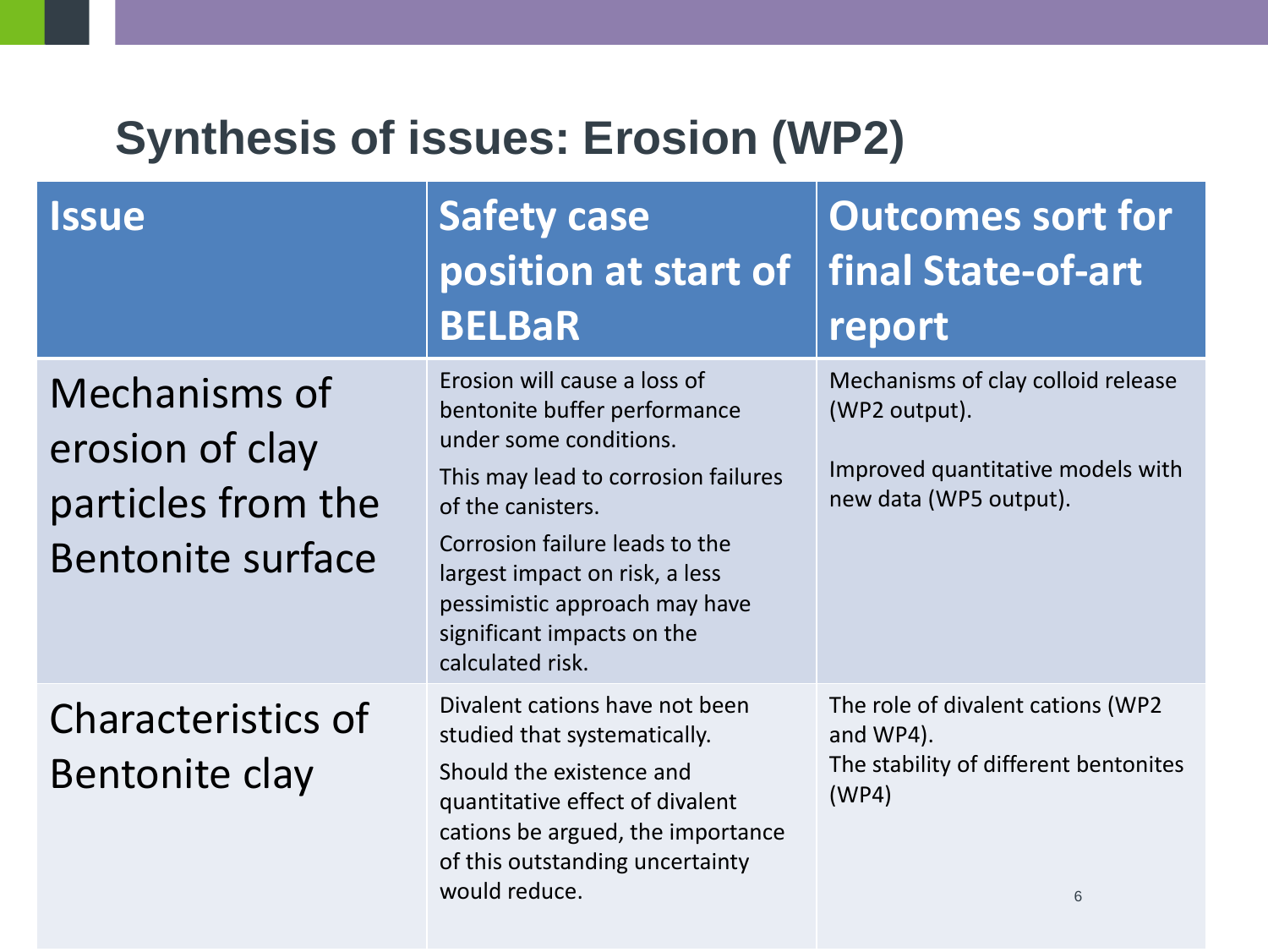#### **Synthesis of issues: Erosion (WP2)**

| <b>Issue</b>                                                                       | Safety case<br>position at start of<br><b>BELBaR</b>                                                                                                                                                                                                                                                      | <b>Outcomes sort for</b><br>final State-of-art<br>report                                                           |
|------------------------------------------------------------------------------------|-----------------------------------------------------------------------------------------------------------------------------------------------------------------------------------------------------------------------------------------------------------------------------------------------------------|--------------------------------------------------------------------------------------------------------------------|
| Mechanisms of<br>erosion of clay<br>particles from the<br><b>Bentonite surface</b> | Erosion will cause a loss of<br>bentonite buffer performance<br>under some conditions.<br>This may lead to corrosion failures<br>of the canisters.<br>Corrosion failure leads to the<br>largest impact on risk, a less<br>pessimistic approach may have<br>significant impacts on the<br>calculated risk. | Mechanisms of clay colloid release<br>(WP2 output).<br>Improved quantitative models with<br>new data (WP5 output). |
| <b>Characteristics of</b><br>Bentonite clay                                        | Divalent cations have not been<br>studied that systematically.<br>Should the existence and<br>quantitative effect of divalent<br>cations be argued, the importance<br>of this outstanding uncertainty<br>would reduce.                                                                                    | The role of divalent cations (WP2<br>and WP4).<br>The stability of different bentonites<br>(WP4)<br>6              |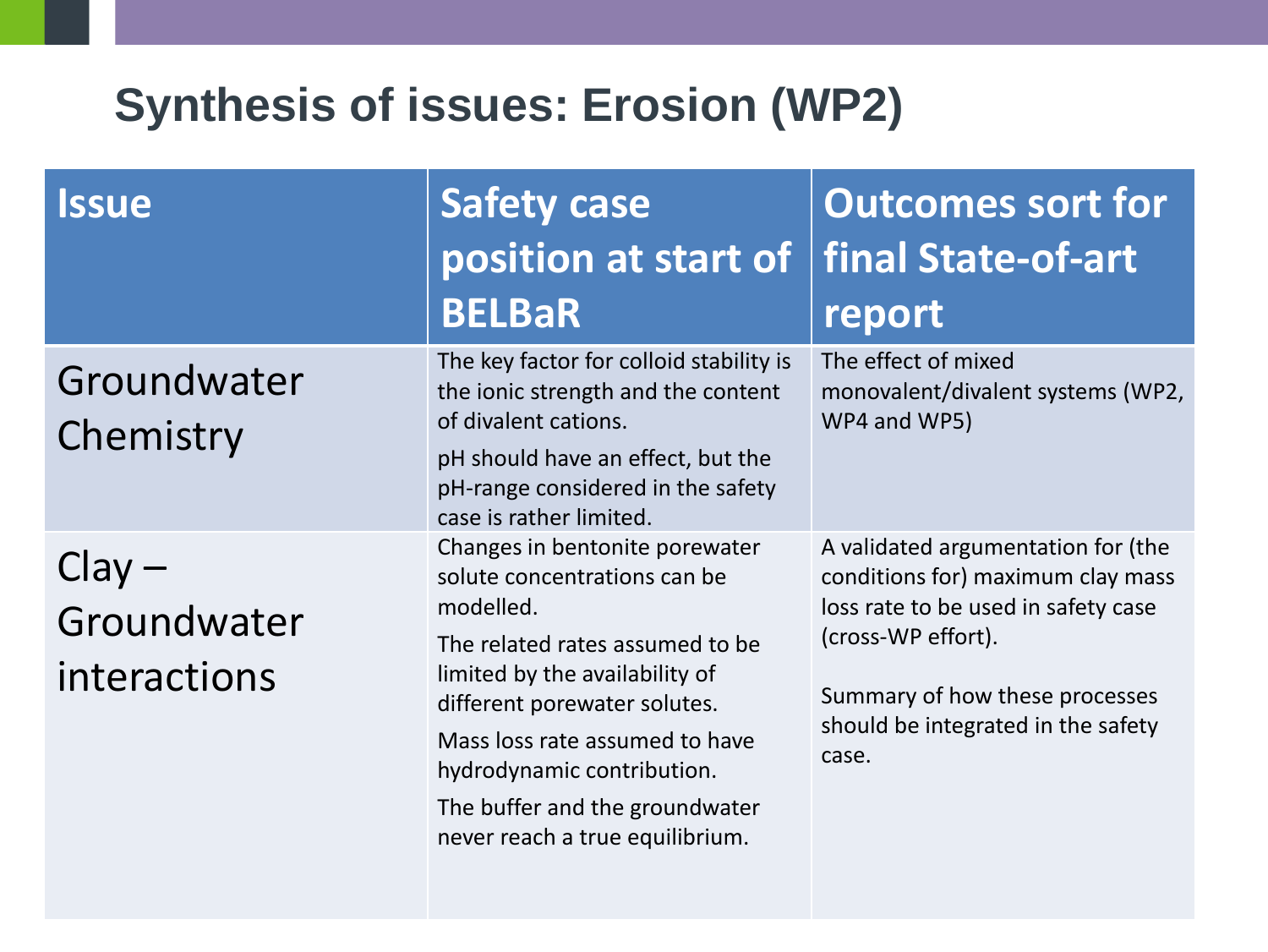#### **Synthesis of issues: Erosion (WP2)**

| <b>Issue</b>                            | Safety case<br>position at start of<br><b>BELBaR</b>                                                                                                                                                                                                                                                                  | <b>Outcomes sort for</b><br>final State-of-art<br>report                                                                                                                                                              |
|-----------------------------------------|-----------------------------------------------------------------------------------------------------------------------------------------------------------------------------------------------------------------------------------------------------------------------------------------------------------------------|-----------------------------------------------------------------------------------------------------------------------------------------------------------------------------------------------------------------------|
| Groundwater<br>Chemistry                | The key factor for colloid stability is<br>the ionic strength and the content<br>of divalent cations.<br>pH should have an effect, but the<br>pH-range considered in the safety<br>case is rather limited.                                                                                                            | The effect of mixed<br>monovalent/divalent systems (WP2,<br>WP4 and WP5)                                                                                                                                              |
| $Clay -$<br>Groundwater<br>interactions | Changes in bentonite porewater<br>solute concentrations can be<br>modelled.<br>The related rates assumed to be<br>limited by the availability of<br>different porewater solutes.<br>Mass loss rate assumed to have<br>hydrodynamic contribution.<br>The buffer and the groundwater<br>never reach a true equilibrium. | A validated argumentation for (the<br>conditions for) maximum clay mass<br>loss rate to be used in safety case<br>(cross-WP effort).<br>Summary of how these processes<br>should be integrated in the safety<br>case. |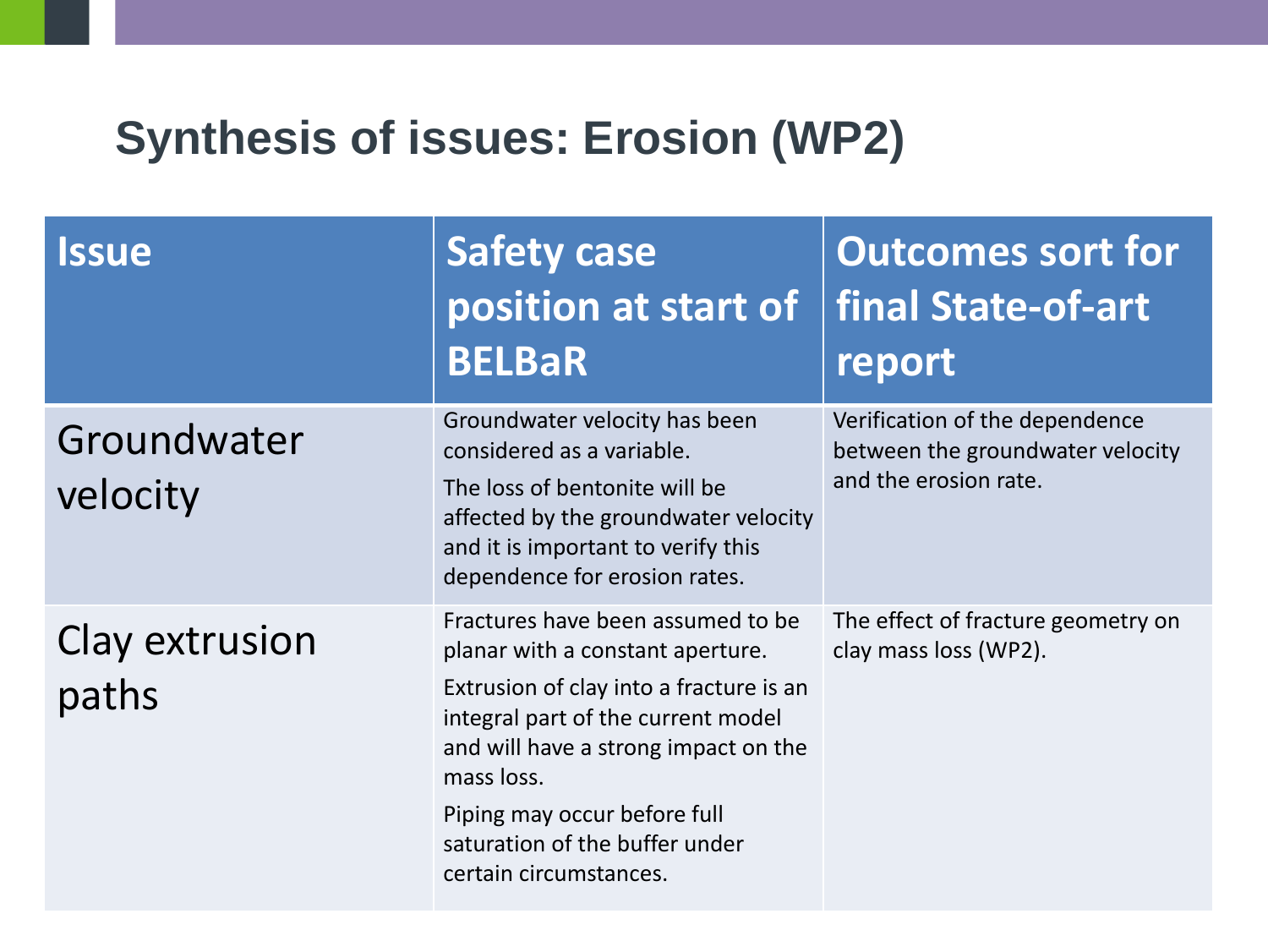#### **Synthesis of issues: Erosion (WP2)**

| <b>Issue</b>            | <b>Safety case</b><br>position at start of<br><b>BELBaR</b>                                                                                                                                                                                                                                              | <b>Outcomes sort for</b><br>final State-of-art<br>report                                    |
|-------------------------|----------------------------------------------------------------------------------------------------------------------------------------------------------------------------------------------------------------------------------------------------------------------------------------------------------|---------------------------------------------------------------------------------------------|
| Groundwater<br>velocity | Groundwater velocity has been<br>considered as a variable.<br>The loss of bentonite will be<br>affected by the groundwater velocity<br>and it is important to verify this<br>dependence for erosion rates.                                                                                               | Verification of the dependence<br>between the groundwater velocity<br>and the erosion rate. |
| Clay extrusion<br>paths | Fractures have been assumed to be<br>planar with a constant aperture.<br>Extrusion of clay into a fracture is an<br>integral part of the current model<br>and will have a strong impact on the<br>mass loss.<br>Piping may occur before full<br>saturation of the buffer under<br>certain circumstances. | The effect of fracture geometry on<br>clay mass loss (WP2).                                 |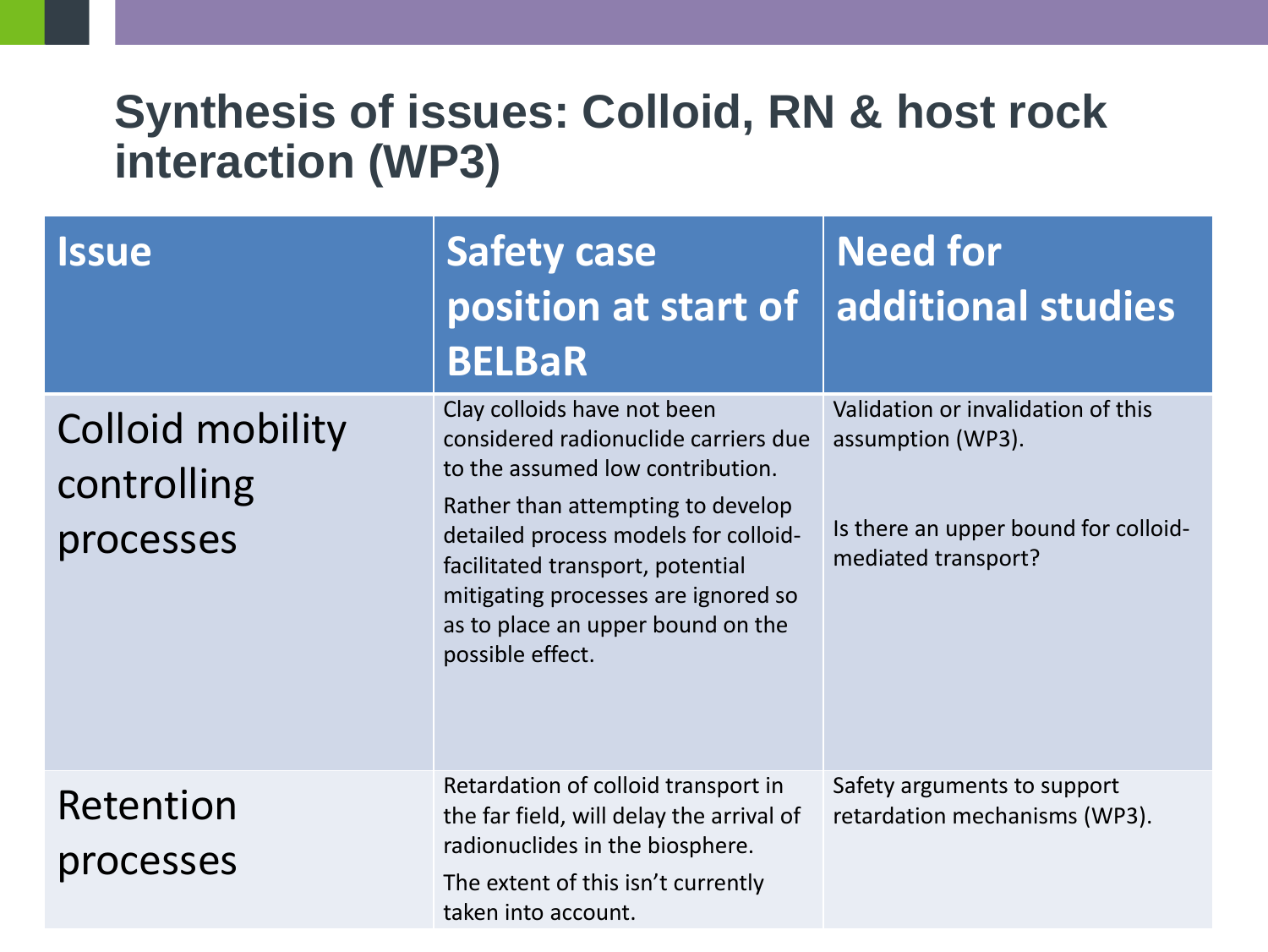#### **Synthesis of issues: Colloid, RN & host rock interaction (WP3)**

| <i><b>Issue</b></i>                          | <b>Safety case</b><br>position at start of<br><b>BELBaR</b>                                                                                                                                                                                                                                                              | <b>Need for</b><br>additional studies                                                                                  |
|----------------------------------------------|--------------------------------------------------------------------------------------------------------------------------------------------------------------------------------------------------------------------------------------------------------------------------------------------------------------------------|------------------------------------------------------------------------------------------------------------------------|
| Colloid mobility<br>controlling<br>processes | Clay colloids have not been<br>considered radionuclide carriers due<br>to the assumed low contribution.<br>Rather than attempting to develop<br>detailed process models for colloid-<br>facilitated transport, potential<br>mitigating processes are ignored so<br>as to place an upper bound on the<br>possible effect. | Validation or invalidation of this<br>assumption (WP3).<br>Is there an upper bound for colloid-<br>mediated transport? |
| Retention<br>processes                       | Retardation of colloid transport in<br>the far field, will delay the arrival of<br>radionuclides in the biosphere.<br>The extent of this isn't currently<br>taken into account.                                                                                                                                          | Safety arguments to support<br>retardation mechanisms (WP3).                                                           |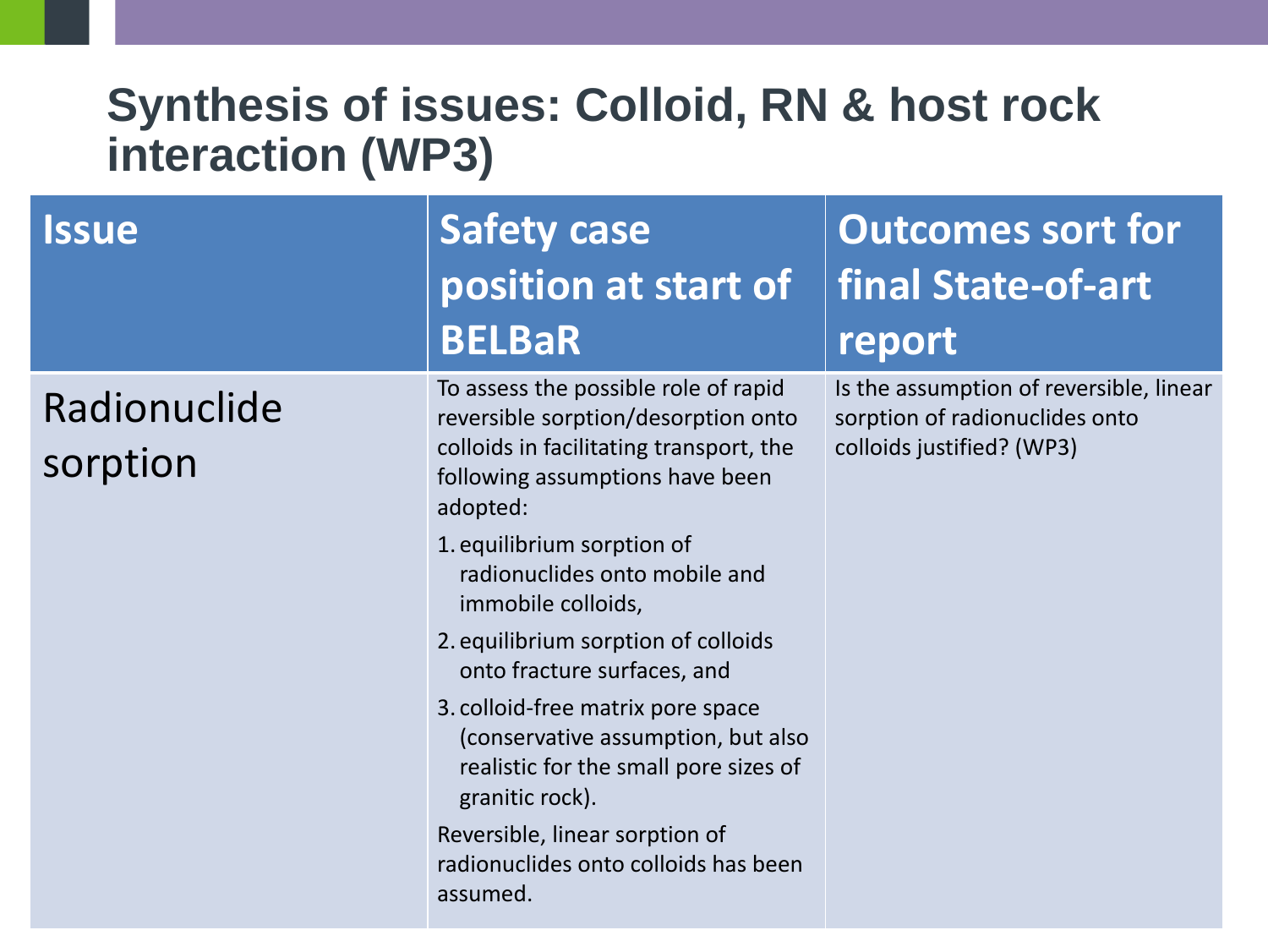#### **Synthesis of issues: Colloid, RN & host rock interaction (WP3)**

| <b>Issue</b>             | <b>Safety case</b><br>position at start of<br><b>BELBaR</b>                                                                                                           | <b>Outcomes sort for</b><br>final State-of-art<br>report                                               |
|--------------------------|-----------------------------------------------------------------------------------------------------------------------------------------------------------------------|--------------------------------------------------------------------------------------------------------|
| Radionuclide<br>sorption | To assess the possible role of rapid<br>reversible sorption/desorption onto<br>colloids in facilitating transport, the<br>following assumptions have been<br>adopted: | Is the assumption of reversible, linear<br>sorption of radionuclides onto<br>colloids justified? (WP3) |
|                          | 1. equilibrium sorption of<br>radionuclides onto mobile and<br>immobile colloids,                                                                                     |                                                                                                        |
|                          | 2. equilibrium sorption of colloids<br>onto fracture surfaces, and                                                                                                    |                                                                                                        |
|                          | 3. colloid-free matrix pore space<br>(conservative assumption, but also<br>realistic for the small pore sizes of<br>granitic rock).                                   |                                                                                                        |
|                          | Reversible, linear sorption of<br>radionuclides onto colloids has been<br>assumed.                                                                                    |                                                                                                        |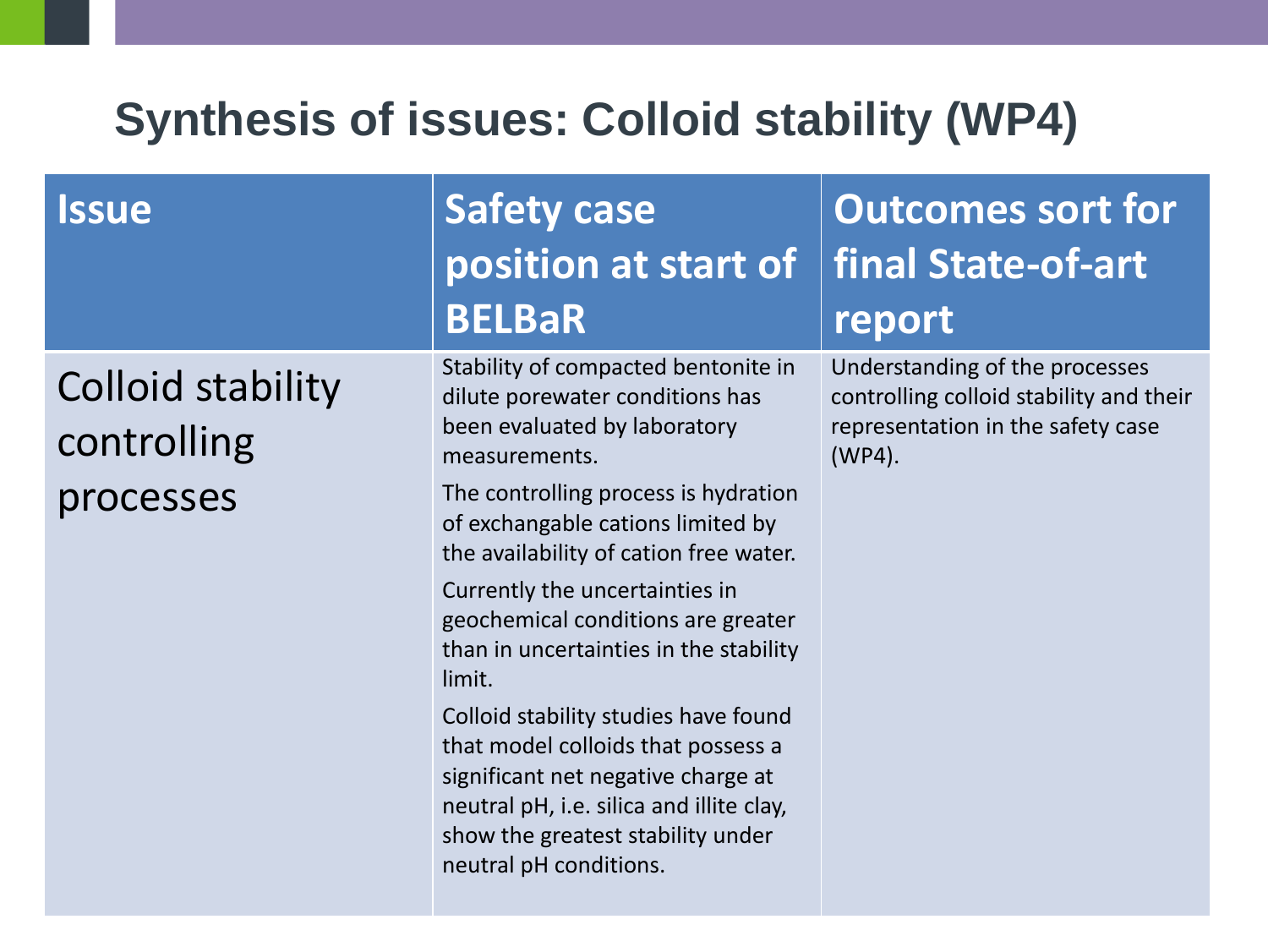## **Synthesis of issues: Colloid stability (WP4)**

| <i><b>Issue</b></i>                                  | <b>Safety case</b><br>position at start of<br><b>BELBaR</b>                                                                                                                                                                                                                                                                                             | <b>Outcomes sort for</b><br>final State-of-art<br>report                                                                    |
|------------------------------------------------------|---------------------------------------------------------------------------------------------------------------------------------------------------------------------------------------------------------------------------------------------------------------------------------------------------------------------------------------------------------|-----------------------------------------------------------------------------------------------------------------------------|
| <b>Colloid stability</b><br>controlling<br>processes | Stability of compacted bentonite in<br>dilute porewater conditions has<br>been evaluated by laboratory<br>measurements.<br>The controlling process is hydration<br>of exchangable cations limited by<br>the availability of cation free water.                                                                                                          | Understanding of the processes<br>controlling colloid stability and their<br>representation in the safety case<br>$(WP4)$ . |
|                                                      | Currently the uncertainties in<br>geochemical conditions are greater<br>than in uncertainties in the stability<br>limit.<br>Colloid stability studies have found<br>that model colloids that possess a<br>significant net negative charge at<br>neutral pH, i.e. silica and illite clay,<br>show the greatest stability under<br>neutral pH conditions. |                                                                                                                             |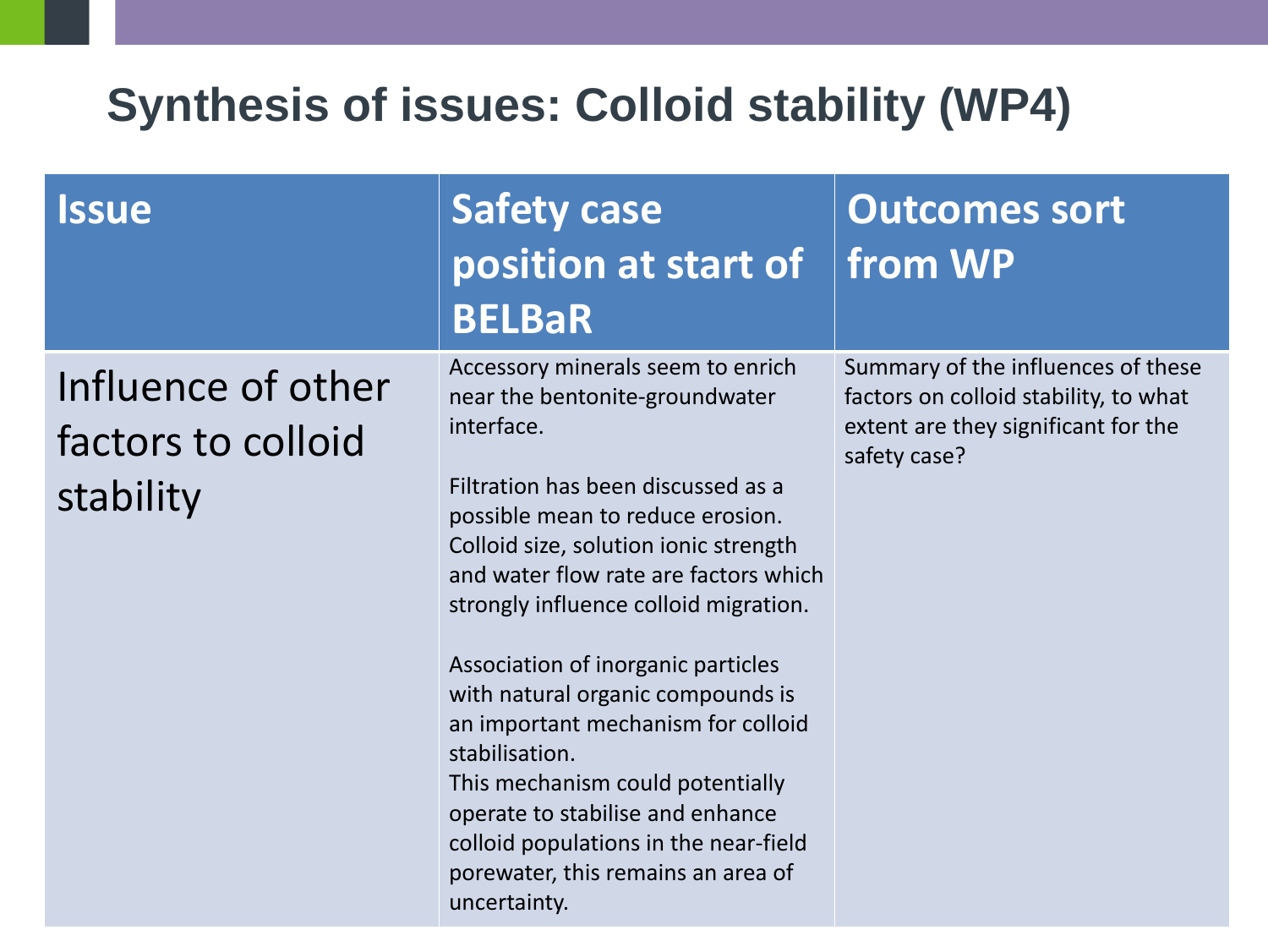## **Synthesis of issues: Colloid stability (WP4)**

| <b>Issue</b>                                          | Safety case<br>position at start of<br><b>BELBaR</b>                                                                                                                                                                                                                                                                                                                                                                                                                                                                                                                                             | Outcomes sort<br>from WP                                                                                                           |
|-------------------------------------------------------|--------------------------------------------------------------------------------------------------------------------------------------------------------------------------------------------------------------------------------------------------------------------------------------------------------------------------------------------------------------------------------------------------------------------------------------------------------------------------------------------------------------------------------------------------------------------------------------------------|------------------------------------------------------------------------------------------------------------------------------------|
| Influence of other<br>factors to colloid<br>stability | Accessory minerals seem to enrich<br>near the bentonite-groundwater<br>interface.<br>Filtration has been discussed as a<br>possible mean to reduce erosion.<br>Colloid size, solution ionic strength<br>and water flow rate are factors which<br>strongly influence colloid migration.<br>Association of inorganic particles<br>with natural organic compounds is<br>an important mechanism for colloid<br>stabilisation.<br>This mechanism could potentially<br>operate to stabilise and enhance<br>colloid populations in the near-field<br>porewater, this remains an area of<br>uncertainty. | Summary of the influences of these<br>factors on colloid stability, to what<br>extent are they significant for the<br>safety case? |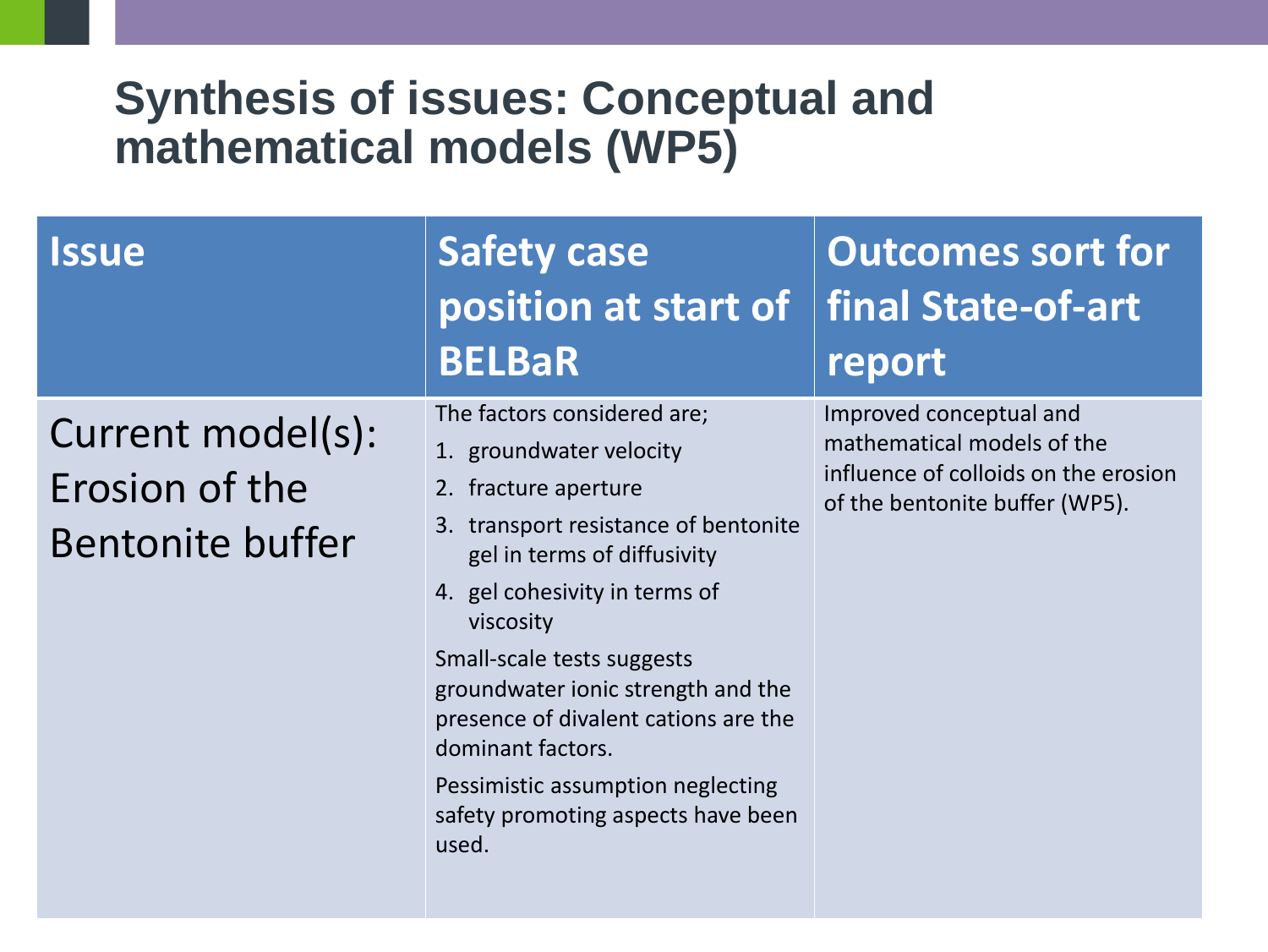#### **Synthesis of issues: Conceptual and mathematical models (WP5)**

| <b>Issue</b>                                                   | Safety case<br>position at start of<br><b>BELBaR</b>                                                                                                                                                                                                                                                                                                                                                                     | <b>Outcomes sort for</b><br>final State-of-art<br>report                                                                        |
|----------------------------------------------------------------|--------------------------------------------------------------------------------------------------------------------------------------------------------------------------------------------------------------------------------------------------------------------------------------------------------------------------------------------------------------------------------------------------------------------------|---------------------------------------------------------------------------------------------------------------------------------|
| Current model(s):<br>Erosion of the<br><b>Bentonite buffer</b> | The factors considered are;<br>1. groundwater velocity<br>2. fracture aperture<br>3. transport resistance of bentonite<br>gel in terms of diffusivity<br>4. gel cohesivity in terms of<br>viscosity<br>Small-scale tests suggests<br>groundwater ionic strength and the<br>presence of divalent cations are the<br>dominant factors.<br>Pessimistic assumption neglecting<br>safety promoting aspects have been<br>used. | Improved conceptual and<br>mathematical models of the<br>influence of colloids on the erosion<br>of the bentonite buffer (WP5). |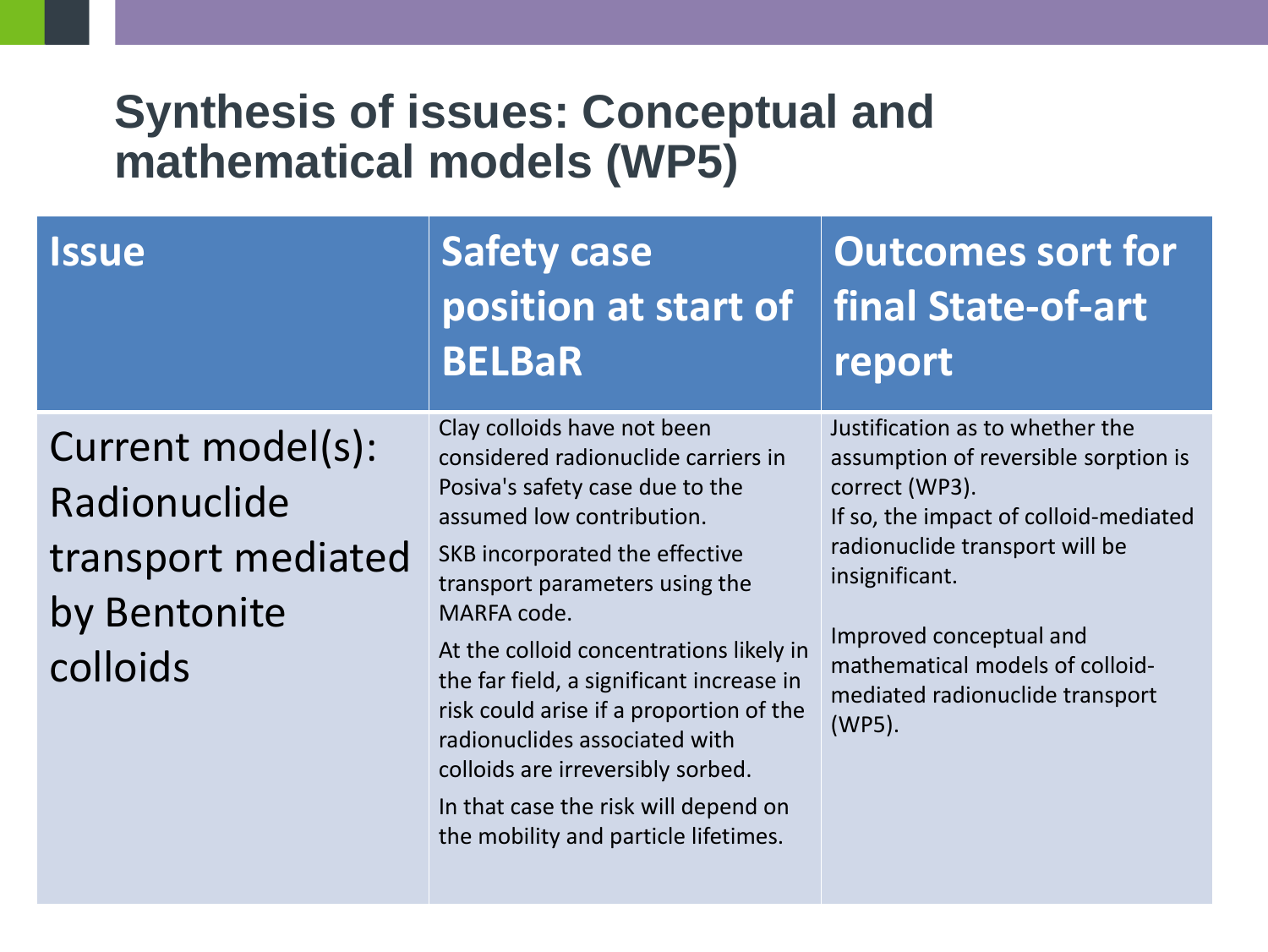#### **Synthesis of issues: Conceptual and mathematical models (WP5)**

| <i><b>Issue</b></i>                                                                 | <b>Safety case</b><br>position at start of<br><b>BELBaR</b>                                                                                                                                                                                                                                                                                                                                                                                                                                                   | <b>Outcomes sort for</b><br>final State-of-art<br>report                                                                                                                                                                                                                                          |
|-------------------------------------------------------------------------------------|---------------------------------------------------------------------------------------------------------------------------------------------------------------------------------------------------------------------------------------------------------------------------------------------------------------------------------------------------------------------------------------------------------------------------------------------------------------------------------------------------------------|---------------------------------------------------------------------------------------------------------------------------------------------------------------------------------------------------------------------------------------------------------------------------------------------------|
| Current model(s):<br>Radionuclide<br>transport mediated<br>by Bentonite<br>colloids | Clay colloids have not been<br>considered radionuclide carriers in<br>Posiva's safety case due to the<br>assumed low contribution.<br>SKB incorporated the effective<br>transport parameters using the<br>MARFA code.<br>At the colloid concentrations likely in<br>the far field, a significant increase in<br>risk could arise if a proportion of the<br>radionuclides associated with<br>colloids are irreversibly sorbed.<br>In that case the risk will depend on<br>the mobility and particle lifetimes. | Justification as to whether the<br>assumption of reversible sorption is<br>correct (WP3).<br>If so, the impact of colloid-mediated<br>radionuclide transport will be<br>insignificant.<br>Improved conceptual and<br>mathematical models of colloid-<br>mediated radionuclide transport<br>(WP5). |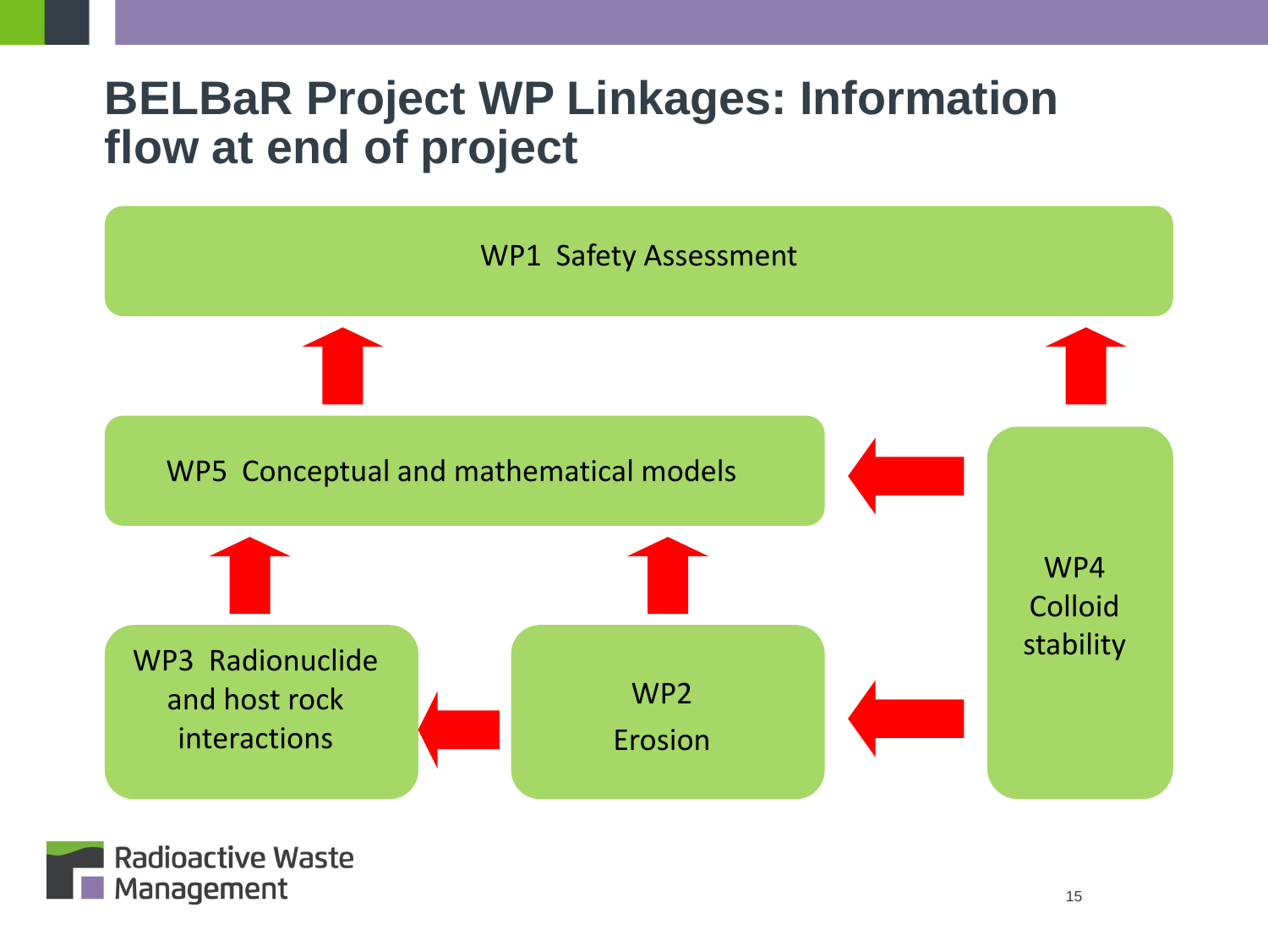#### **BELBaR Project WP Linkages: Information flow at end of project**



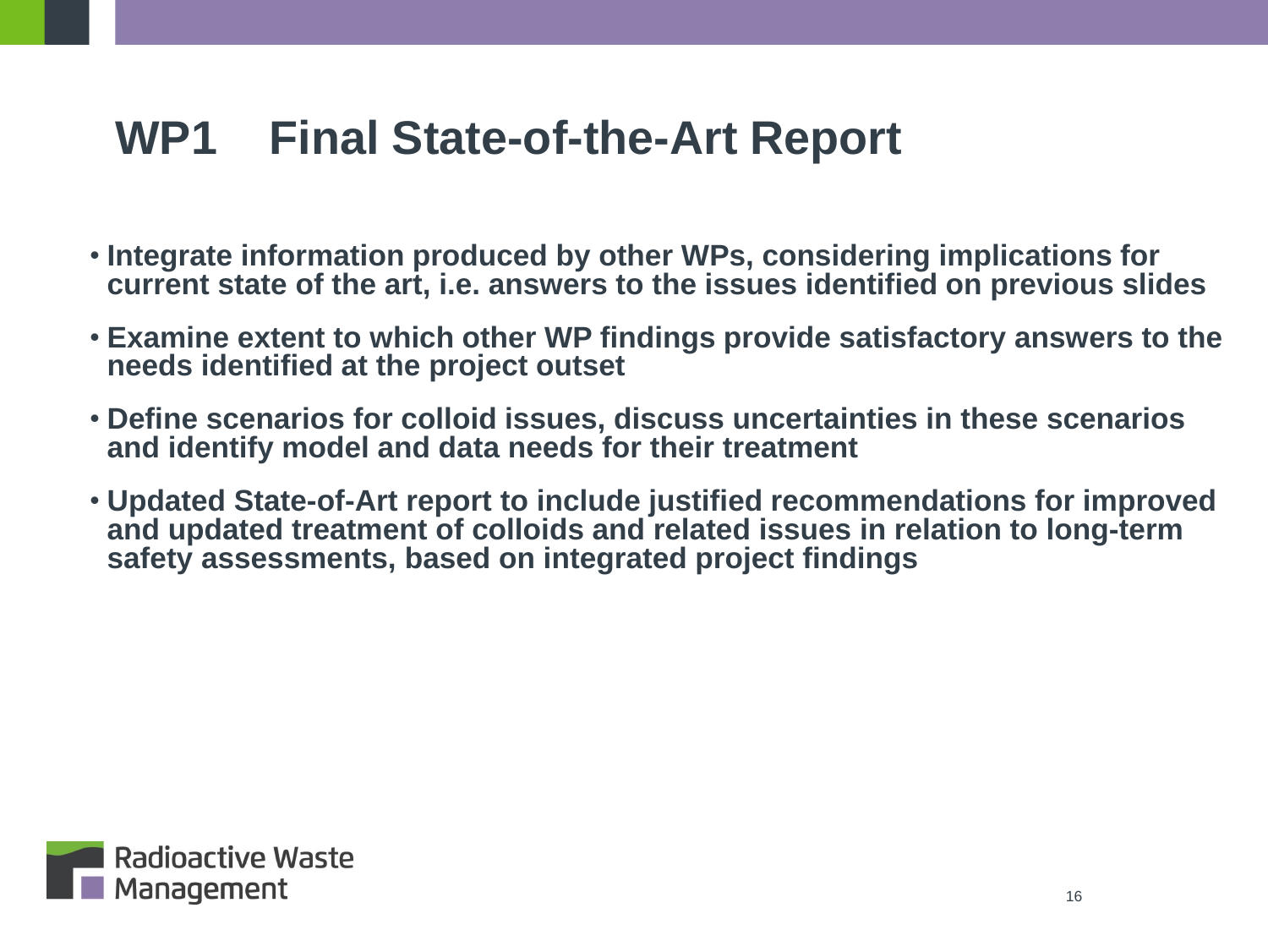#### **WP1 Final State-of-the-Art Report**

- **Integrate information produced by other WPs, considering implications for current state of the art, i.e. answers to the issues identified on previous slides**
- **Examine extent to which other WP findings provide satisfactory answers to the needs identified at the project outset**
- **Define scenarios for colloid issues, discuss uncertainties in these scenarios and identify model and data needs for their treatment**
- **Updated State-of-Art report to include justified recommendations for improved and updated treatment of colloids and related issues in relation to long-term safety assessments, based on integrated project findings**